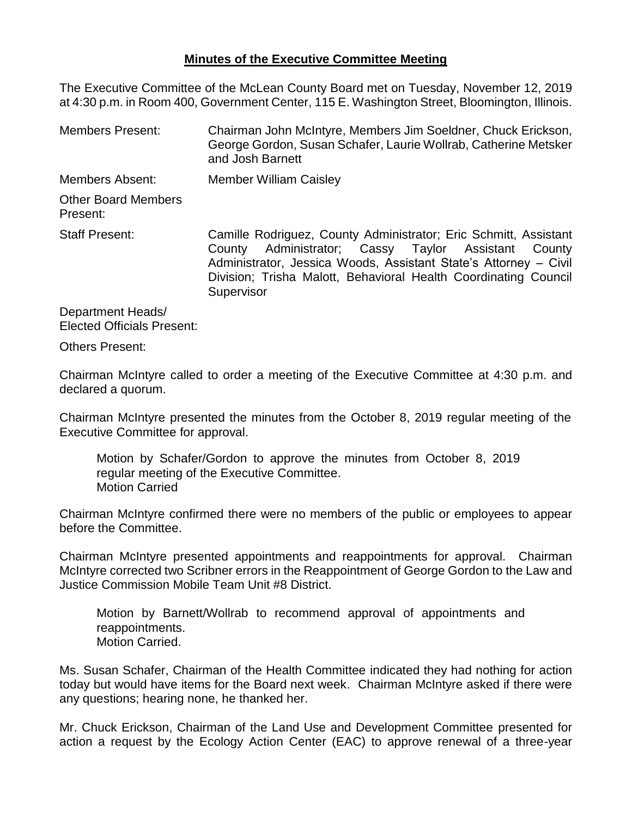## **Minutes of the Executive Committee Meeting**

The Executive Committee of the McLean County Board met on Tuesday, November 12, 2019 at 4:30 p.m. in Room 400, Government Center, 115 E. Washington Street, Bloomington, Illinois.

Members Present: Chairman John McIntyre, Members Jim Soeldner, Chuck Erickson, George Gordon, Susan Schafer, Laurie Wollrab, Catherine Metsker and Josh Barnett Members Absent: Member William Caisley Other Board Members Present: Staff Present: Camille Rodriguez, County Administrator; Eric Schmitt, Assistant County Administrator; Cassy Taylor Assistant County Administrator, Jessica Woods, Assistant State's Attorney – Civil Division; Trisha Malott, Behavioral Health Coordinating Council **Supervisor** 

Department Heads/ Elected Officials Present:

Others Present:

Chairman McIntyre called to order a meeting of the Executive Committee at 4:30 p.m. and declared a quorum.

Chairman McIntyre presented the minutes from the October 8, 2019 regular meeting of the Executive Committee for approval.

Motion by Schafer/Gordon to approve the minutes from October 8, 2019 regular meeting of the Executive Committee. Motion Carried

Chairman McIntyre confirmed there were no members of the public or employees to appear before the Committee.

Chairman McIntyre presented appointments and reappointments for approval. Chairman McIntyre corrected two Scribner errors in the Reappointment of George Gordon to the Law and Justice Commission Mobile Team Unit #8 District.

Motion by Barnett/Wollrab to recommend approval of appointments and reappointments. Motion Carried.

Ms. Susan Schafer, Chairman of the Health Committee indicated they had nothing for action today but would have items for the Board next week. Chairman McIntyre asked if there were any questions; hearing none, he thanked her.

Mr. Chuck Erickson, Chairman of the Land Use and Development Committee presented for action a request by the Ecology Action Center (EAC) to approve renewal of a three-year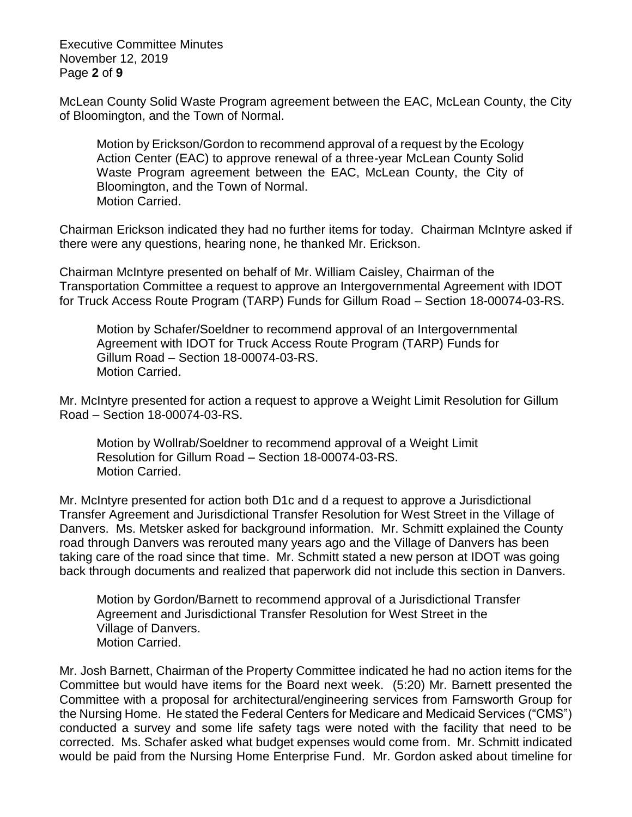Executive Committee Minutes November 12, 2019 Page **2** of **9**

McLean County Solid Waste Program agreement between the EAC, McLean County, the City of Bloomington, and the Town of Normal.

Motion by Erickson/Gordon to recommend approval of a request by the Ecology Action Center (EAC) to approve renewal of a three-year McLean County Solid Waste Program agreement between the EAC, McLean County, the City of Bloomington, and the Town of Normal. Motion Carried.

Chairman Erickson indicated they had no further items for today. Chairman McIntyre asked if there were any questions, hearing none, he thanked Mr. Erickson.

Chairman McIntyre presented on behalf of Mr. William Caisley, Chairman of the Transportation Committee a request to approve an Intergovernmental Agreement with IDOT for Truck Access Route Program (TARP) Funds for Gillum Road – Section 18-00074-03-RS.

Motion by Schafer/Soeldner to recommend approval of an Intergovernmental Agreement with IDOT for Truck Access Route Program (TARP) Funds for Gillum Road – Section 18-00074-03-RS. Motion Carried.

Mr. McIntyre presented for action a request to approve a Weight Limit Resolution for Gillum Road – Section 18-00074-03-RS.

Motion by Wollrab/Soeldner to recommend approval of a Weight Limit Resolution for Gillum Road – Section 18-00074-03-RS. Motion Carried.

Mr. McIntyre presented for action both D1c and d a request to approve a Jurisdictional Transfer Agreement and Jurisdictional Transfer Resolution for West Street in the Village of Danvers. Ms. Metsker asked for background information. Mr. Schmitt explained the County road through Danvers was rerouted many years ago and the Village of Danvers has been taking care of the road since that time. Mr. Schmitt stated a new person at IDOT was going back through documents and realized that paperwork did not include this section in Danvers.

Motion by Gordon/Barnett to recommend approval of a Jurisdictional Transfer Agreement and Jurisdictional Transfer Resolution for West Street in the Village of Danvers. Motion Carried.

Mr. Josh Barnett, Chairman of the Property Committee indicated he had no action items for the Committee but would have items for the Board next week. (5:20) Mr. Barnett presented the Committee with a proposal for architectural/engineering services from Farnsworth Group for the Nursing Home. He stated the Federal Centers for Medicare and Medicaid Services ("CMS") conducted a survey and some life safety tags were noted with the facility that need to be corrected. Ms. Schafer asked what budget expenses would come from. Mr. Schmitt indicated would be paid from the Nursing Home Enterprise Fund. Mr. Gordon asked about timeline for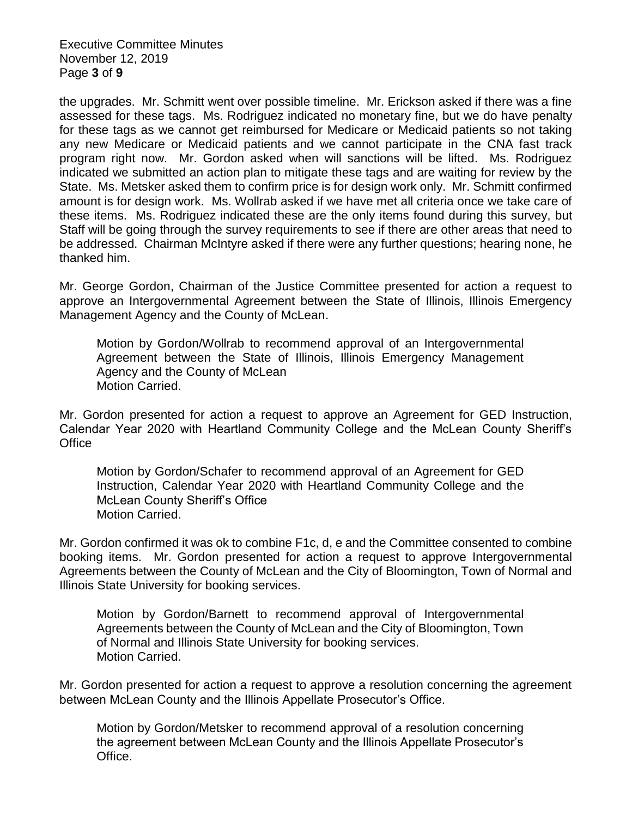Executive Committee Minutes November 12, 2019 Page **3** of **9**

the upgrades. Mr. Schmitt went over possible timeline. Mr. Erickson asked if there was a fine assessed for these tags. Ms. Rodriguez indicated no monetary fine, but we do have penalty for these tags as we cannot get reimbursed for Medicare or Medicaid patients so not taking any new Medicare or Medicaid patients and we cannot participate in the CNA fast track program right now. Mr. Gordon asked when will sanctions will be lifted. Ms. Rodriguez indicated we submitted an action plan to mitigate these tags and are waiting for review by the State. Ms. Metsker asked them to confirm price is for design work only. Mr. Schmitt confirmed amount is for design work. Ms. Wollrab asked if we have met all criteria once we take care of these items. Ms. Rodriguez indicated these are the only items found during this survey, but Staff will be going through the survey requirements to see if there are other areas that need to be addressed. Chairman McIntyre asked if there were any further questions; hearing none, he thanked him.

Mr. George Gordon, Chairman of the Justice Committee presented for action a request to approve an Intergovernmental Agreement between the State of Illinois, Illinois Emergency Management Agency and the County of McLean.

Motion by Gordon/Wollrab to recommend approval of an Intergovernmental Agreement between the State of Illinois, Illinois Emergency Management Agency and the County of McLean Motion Carried.

Mr. Gordon presented for action a request to approve an Agreement for GED Instruction, Calendar Year 2020 with Heartland Community College and the McLean County Sheriff's **Office** 

Motion by Gordon/Schafer to recommend approval of an Agreement for GED Instruction, Calendar Year 2020 with Heartland Community College and the McLean County Sheriff's Office Motion Carried.

Mr. Gordon confirmed it was ok to combine F1c, d, e and the Committee consented to combine booking items. Mr. Gordon presented for action a request to approve Intergovernmental Agreements between the County of McLean and the City of Bloomington, Town of Normal and Illinois State University for booking services.

Motion by Gordon/Barnett to recommend approval of Intergovernmental Agreements between the County of McLean and the City of Bloomington, Town of Normal and Illinois State University for booking services. Motion Carried.

Mr. Gordon presented for action a request to approve a resolution concerning the agreement between McLean County and the Illinois Appellate Prosecutor's Office.

Motion by Gordon/Metsker to recommend approval of a resolution concerning the agreement between McLean County and the Illinois Appellate Prosecutor's Office.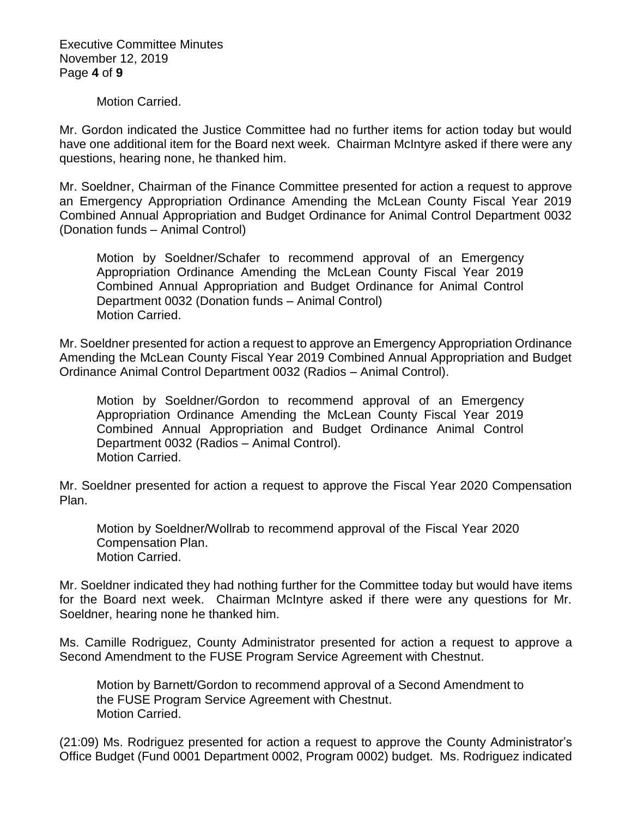Executive Committee Minutes November 12, 2019 Page **4** of **9**

Motion Carried.

Mr. Gordon indicated the Justice Committee had no further items for action today but would have one additional item for the Board next week. Chairman McIntyre asked if there were any questions, hearing none, he thanked him.

Mr. Soeldner, Chairman of the Finance Committee presented for action a request to approve an Emergency Appropriation Ordinance Amending the McLean County Fiscal Year 2019 Combined Annual Appropriation and Budget Ordinance for Animal Control Department 0032 (Donation funds – Animal Control)

Motion by Soeldner/Schafer to recommend approval of an Emergency Appropriation Ordinance Amending the McLean County Fiscal Year 2019 Combined Annual Appropriation and Budget Ordinance for Animal Control Department 0032 (Donation funds – Animal Control) Motion Carried.

Mr. Soeldner presented for action a request to approve an Emergency Appropriation Ordinance Amending the McLean County Fiscal Year 2019 Combined Annual Appropriation and Budget Ordinance Animal Control Department 0032 (Radios – Animal Control).

Motion by Soeldner/Gordon to recommend approval of an Emergency Appropriation Ordinance Amending the McLean County Fiscal Year 2019 Combined Annual Appropriation and Budget Ordinance Animal Control Department 0032 (Radios – Animal Control). Motion Carried.

Mr. Soeldner presented for action a request to approve the Fiscal Year 2020 Compensation Plan.

Motion by Soeldner/Wollrab to recommend approval of the Fiscal Year 2020 Compensation Plan. Motion Carried.

Mr. Soeldner indicated they had nothing further for the Committee today but would have items for the Board next week. Chairman McIntyre asked if there were any questions for Mr. Soeldner, hearing none he thanked him.

Ms. Camille Rodriguez, County Administrator presented for action a request to approve a Second Amendment to the FUSE Program Service Agreement with Chestnut.

Motion by Barnett/Gordon to recommend approval of a Second Amendment to the FUSE Program Service Agreement with Chestnut. Motion Carried.

(21:09) Ms. Rodriguez presented for action a request to approve the County Administrator's Office Budget (Fund 0001 Department 0002, Program 0002) budget. Ms. Rodriguez indicated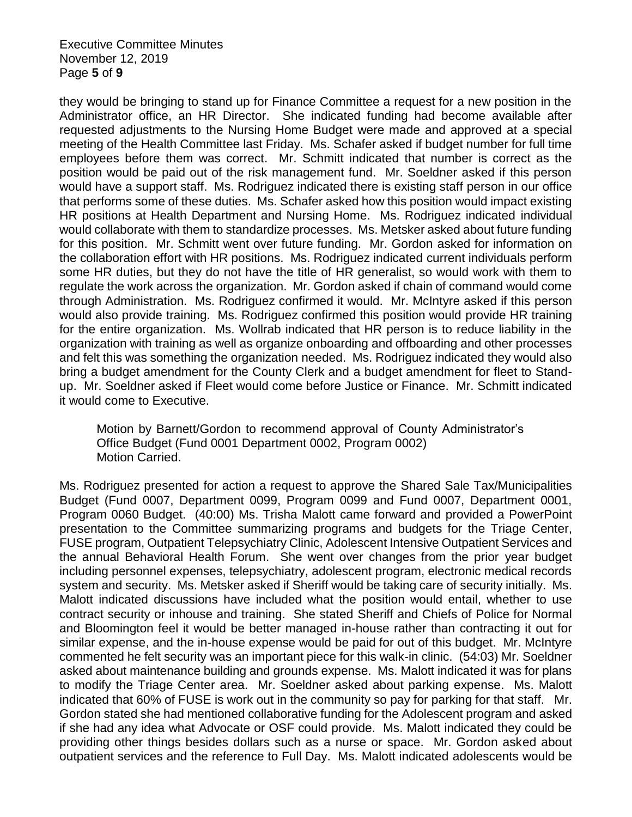Executive Committee Minutes November 12, 2019 Page **5** of **9**

they would be bringing to stand up for Finance Committee a request for a new position in the Administrator office, an HR Director. She indicated funding had become available after requested adjustments to the Nursing Home Budget were made and approved at a special meeting of the Health Committee last Friday. Ms. Schafer asked if budget number for full time employees before them was correct. Mr. Schmitt indicated that number is correct as the position would be paid out of the risk management fund. Mr. Soeldner asked if this person would have a support staff. Ms. Rodriguez indicated there is existing staff person in our office that performs some of these duties. Ms. Schafer asked how this position would impact existing HR positions at Health Department and Nursing Home. Ms. Rodriguez indicated individual would collaborate with them to standardize processes. Ms. Metsker asked about future funding for this position. Mr. Schmitt went over future funding. Mr. Gordon asked for information on the collaboration effort with HR positions. Ms. Rodriguez indicated current individuals perform some HR duties, but they do not have the title of HR generalist, so would work with them to regulate the work across the organization. Mr. Gordon asked if chain of command would come through Administration. Ms. Rodriguez confirmed it would. Mr. McIntyre asked if this person would also provide training. Ms. Rodriguez confirmed this position would provide HR training for the entire organization. Ms. Wollrab indicated that HR person is to reduce liability in the organization with training as well as organize onboarding and offboarding and other processes and felt this was something the organization needed. Ms. Rodriguez indicated they would also bring a budget amendment for the County Clerk and a budget amendment for fleet to Standup. Mr. Soeldner asked if Fleet would come before Justice or Finance. Mr. Schmitt indicated it would come to Executive.

Motion by Barnett/Gordon to recommend approval of County Administrator's Office Budget (Fund 0001 Department 0002, Program 0002) Motion Carried.

Ms. Rodriguez presented for action a request to approve the Shared Sale Tax/Municipalities Budget (Fund 0007, Department 0099, Program 0099 and Fund 0007, Department 0001, Program 0060 Budget. (40:00) Ms. Trisha Malott came forward and provided a PowerPoint presentation to the Committee summarizing programs and budgets for the Triage Center, FUSE program, Outpatient Telepsychiatry Clinic, Adolescent Intensive Outpatient Services and the annual Behavioral Health Forum. She went over changes from the prior year budget including personnel expenses, telepsychiatry, adolescent program, electronic medical records system and security. Ms. Metsker asked if Sheriff would be taking care of security initially. Ms. Malott indicated discussions have included what the position would entail, whether to use contract security or inhouse and training. She stated Sheriff and Chiefs of Police for Normal and Bloomington feel it would be better managed in-house rather than contracting it out for similar expense, and the in-house expense would be paid for out of this budget. Mr. McIntyre commented he felt security was an important piece for this walk-in clinic. (54:03) Mr. Soeldner asked about maintenance building and grounds expense. Ms. Malott indicated it was for plans to modify the Triage Center area. Mr. Soeldner asked about parking expense. Ms. Malott indicated that 60% of FUSE is work out in the community so pay for parking for that staff. Mr. Gordon stated she had mentioned collaborative funding for the Adolescent program and asked if she had any idea what Advocate or OSF could provide. Ms. Malott indicated they could be providing other things besides dollars such as a nurse or space. Mr. Gordon asked about outpatient services and the reference to Full Day. Ms. Malott indicated adolescents would be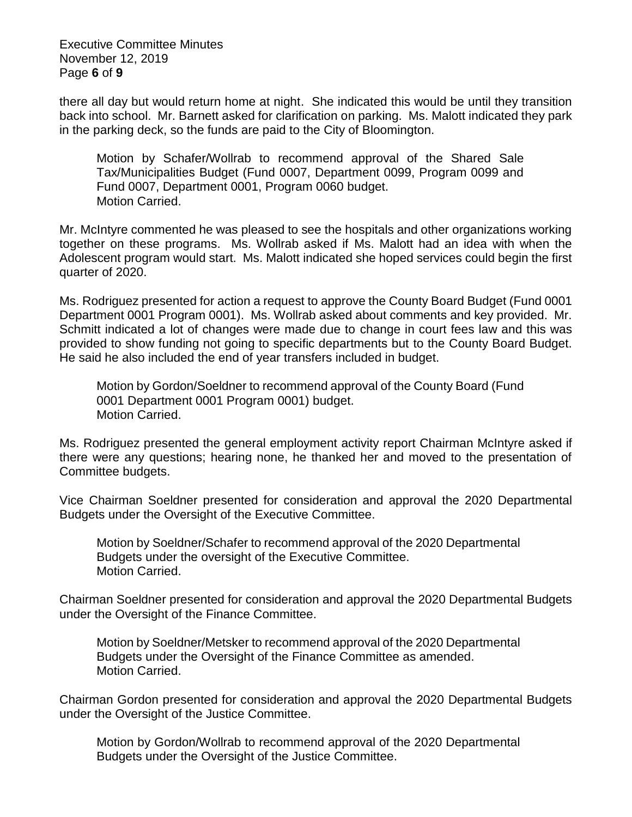Executive Committee Minutes November 12, 2019 Page **6** of **9**

there all day but would return home at night. She indicated this would be until they transition back into school. Mr. Barnett asked for clarification on parking. Ms. Malott indicated they park in the parking deck, so the funds are paid to the City of Bloomington.

Motion by Schafer/Wollrab to recommend approval of the Shared Sale Tax/Municipalities Budget (Fund 0007, Department 0099, Program 0099 and Fund 0007, Department 0001, Program 0060 budget. Motion Carried.

Mr. McIntyre commented he was pleased to see the hospitals and other organizations working together on these programs. Ms. Wollrab asked if Ms. Malott had an idea with when the Adolescent program would start. Ms. Malott indicated she hoped services could begin the first quarter of 2020.

Ms. Rodriguez presented for action a request to approve the County Board Budget (Fund 0001 Department 0001 Program 0001). Ms. Wollrab asked about comments and key provided. Mr. Schmitt indicated a lot of changes were made due to change in court fees law and this was provided to show funding not going to specific departments but to the County Board Budget. He said he also included the end of year transfers included in budget.

Motion by Gordon/Soeldner to recommend approval of the County Board (Fund 0001 Department 0001 Program 0001) budget. Motion Carried.

Ms. Rodriguez presented the general employment activity report Chairman McIntyre asked if there were any questions; hearing none, he thanked her and moved to the presentation of Committee budgets.

Vice Chairman Soeldner presented for consideration and approval the 2020 Departmental Budgets under the Oversight of the Executive Committee.

Motion by Soeldner/Schafer to recommend approval of the 2020 Departmental Budgets under the oversight of the Executive Committee. Motion Carried.

Chairman Soeldner presented for consideration and approval the 2020 Departmental Budgets under the Oversight of the Finance Committee.

Motion by Soeldner/Metsker to recommend approval of the 2020 Departmental Budgets under the Oversight of the Finance Committee as amended. Motion Carried.

Chairman Gordon presented for consideration and approval the 2020 Departmental Budgets under the Oversight of the Justice Committee.

Motion by Gordon/Wollrab to recommend approval of the 2020 Departmental Budgets under the Oversight of the Justice Committee.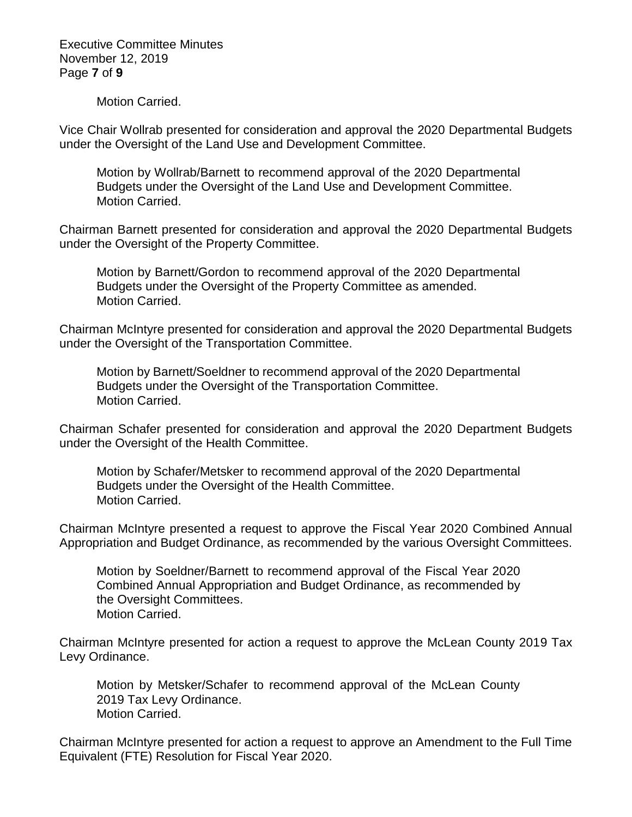Executive Committee Minutes November 12, 2019 Page **7** of **9**

Motion Carried.

Vice Chair Wollrab presented for consideration and approval the 2020 Departmental Budgets under the Oversight of the Land Use and Development Committee.

Motion by Wollrab/Barnett to recommend approval of the 2020 Departmental Budgets under the Oversight of the Land Use and Development Committee. Motion Carried.

Chairman Barnett presented for consideration and approval the 2020 Departmental Budgets under the Oversight of the Property Committee.

Motion by Barnett/Gordon to recommend approval of the 2020 Departmental Budgets under the Oversight of the Property Committee as amended. Motion Carried.

Chairman McIntyre presented for consideration and approval the 2020 Departmental Budgets under the Oversight of the Transportation Committee.

Motion by Barnett/Soeldner to recommend approval of the 2020 Departmental Budgets under the Oversight of the Transportation Committee. Motion Carried.

Chairman Schafer presented for consideration and approval the 2020 Department Budgets under the Oversight of the Health Committee.

Motion by Schafer/Metsker to recommend approval of the 2020 Departmental Budgets under the Oversight of the Health Committee. Motion Carried.

Chairman McIntyre presented a request to approve the Fiscal Year 2020 Combined Annual Appropriation and Budget Ordinance, as recommended by the various Oversight Committees.

Motion by Soeldner/Barnett to recommend approval of the Fiscal Year 2020 Combined Annual Appropriation and Budget Ordinance, as recommended by the Oversight Committees. Motion Carried.

Chairman McIntyre presented for action a request to approve the McLean County 2019 Tax Levy Ordinance.

Motion by Metsker/Schafer to recommend approval of the McLean County 2019 Tax Levy Ordinance. Motion Carried.

Chairman McIntyre presented for action a request to approve an Amendment to the Full Time Equivalent (FTE) Resolution for Fiscal Year 2020.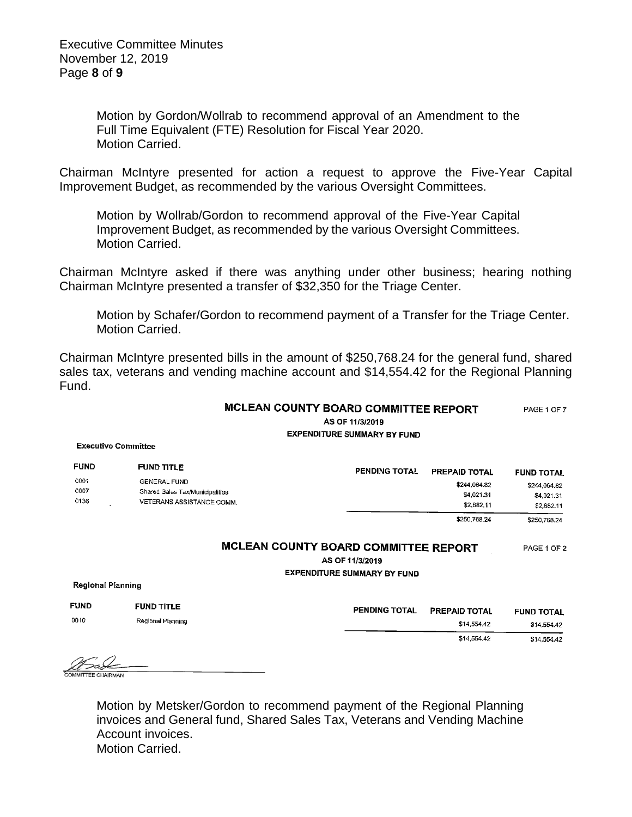Motion by Gordon/Wollrab to recommend approval of an Amendment to the Full Time Equivalent (FTE) Resolution for Fiscal Year 2020. Motion Carried.

Chairman McIntyre presented for action a request to approve the Five-Year Capital Improvement Budget, as recommended by the various Oversight Committees.

Motion by Wollrab/Gordon to recommend approval of the Five-Year Capital Improvement Budget, as recommended by the various Oversight Committees. Motion Carried.

Chairman McIntyre asked if there was anything under other business; hearing nothing Chairman McIntyre presented a transfer of \$32,350 for the Triage Center.

Motion by Schafer/Gordon to recommend payment of a Transfer for the Triage Center. Motion Carried.

Chairman McIntyre presented bills in the amount of \$250,768.24 for the general fund, shared sales tax, veterans and vending machine account and \$14,554.42 for the Regional Planning Fund.

## MCLEAN COUNTY BOARD COMMITTEE REPORT PAGE 1 OF 7 AS OF 11/3/2019 **EXPENDITURE SUMMARY BY FUND**

**Executive Committee** 

| <b>FUND</b>          | <b>FUND TITLE</b>                                      | <b>PENDING TOTAL</b> | <b>PREPAID TOTAL</b>     | <b>FUND TOTAL</b>        |
|----------------------|--------------------------------------------------------|----------------------|--------------------------|--------------------------|
| 0001<br>0007<br>0136 | <b>GENERAL FUND</b><br>Shared Sales Tax/Municipalities |                      | \$244,064.82             | \$244,064.82             |
|                      | VETERANS ASSISTANCE COMM.                              |                      | \$4,021.31<br>\$2,682.11 | \$4,021.31<br>\$2,682.11 |
|                      |                                                        |                      | \$250,768.24             | \$250.768.24             |

\$250,768.24

## MCLEAN COUNTY BOARD COMMITTEE REPORT PAGE 1 OF 2

AS OF 11/3/2019

**EXPENDITURE SUMMARY BY FUND** 

Regional Planning

| <b>FUND</b> | <b>FUND TITLE</b> | <b>PENDING TOTAL</b> | <b>PREPAID TOTAL</b> | <b>FUND TOTAL</b> |
|-------------|-------------------|----------------------|----------------------|-------------------|
| 0010        | Regional Planning |                      | \$14,554.42          | \$14,554,42       |
|             |                   |                      | \$14,554.42          | \$14,554,42       |

FF CHAIRMAN

Motion by Metsker/Gordon to recommend payment of the Regional Planning invoices and General fund, Shared Sales Tax, Veterans and Vending Machine Account invoices. Motion Carried.